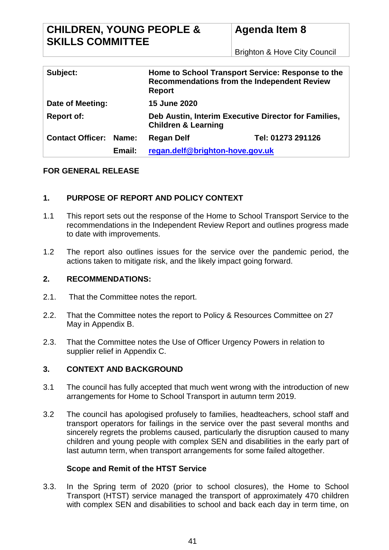Brighton & Hove City Council

| Subject:                |        | Home to School Transport Service: Response to the<br><b>Recommendations from the Independent Review</b><br><b>Report</b> |                   |
|-------------------------|--------|--------------------------------------------------------------------------------------------------------------------------|-------------------|
| Date of Meeting:        |        | <b>15 June 2020</b>                                                                                                      |                   |
| <b>Report of:</b>       |        | Deb Austin, Interim Executive Director for Families,<br><b>Children &amp; Learning</b>                                   |                   |
| <b>Contact Officer:</b> | Name:  | <b>Regan Delf</b>                                                                                                        | Tel: 01273 291126 |
|                         | Email: | regan.delf@brighton-hove.gov.uk                                                                                          |                   |

### **FOR GENERAL RELEASE**

## **1. PURPOSE OF REPORT AND POLICY CONTEXT**

- 1.1 This report sets out the response of the Home to School Transport Service to the recommendations in the Independent Review Report and outlines progress made to date with improvements.
- 1.2 The report also outlines issues for the service over the pandemic period, the actions taken to mitigate risk, and the likely impact going forward.

### **2. RECOMMENDATIONS:**

- 2.1. That the Committee notes the report.
- 2.2. That the Committee notes the report to Policy & Resources Committee on 27 May in Appendix B.
- 2.3. That the Committee notes the Use of Officer Urgency Powers in relation to supplier relief in Appendix C.

### **3. CONTEXT AND BACKGROUND**

- 3.1 The council has fully accepted that much went wrong with the introduction of new arrangements for Home to School Transport in autumn term 2019.
- 3.2 The council has apologised profusely to families, headteachers, school staff and transport operators for failings in the service over the past several months and sincerely regrets the problems caused, particularly the disruption caused to many children and young people with complex SEN and disabilities in the early part of last autumn term, when transport arrangements for some failed altogether.

### **Scope and Remit of the HTST Service**

3.3. In the Spring term of 2020 (prior to school closures), the Home to School Transport (HTST) service managed the transport of approximately 470 children with complex SEN and disabilities to school and back each day in term time, on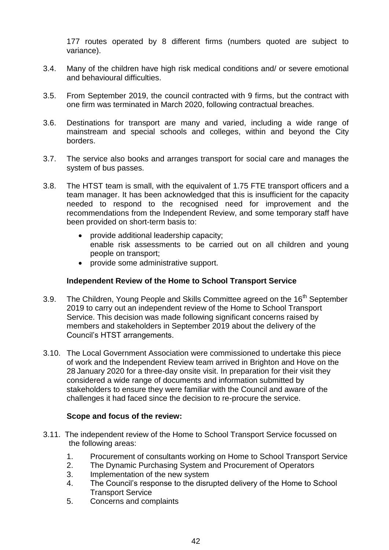177 routes operated by 8 different firms (numbers quoted are subject to variance).

- 3.4. Many of the children have high risk medical conditions and/ or severe emotional and behavioural difficulties.
- 3.5. From September 2019, the council contracted with 9 firms, but the contract with one firm was terminated in March 2020, following contractual breaches.
- 3.6. Destinations for transport are many and varied, including a wide range of mainstream and special schools and colleges, within and beyond the City borders.
- 3.7. The service also books and arranges transport for social care and manages the system of bus passes.
- 3.8. The HTST team is small, with the equivalent of 1.75 FTE transport officers and a team manager. It has been acknowledged that this is insufficient for the capacity needed to respond to the recognised need for improvement and the recommendations from the Independent Review, and some temporary staff have been provided on short-term basis to:
	- provide additional leadership capacity; enable risk assessments to be carried out on all children and young people on transport;
	- provide some administrative support.

## **Independent Review of the Home to School Transport Service**

- 3.9. The Children, Young People and Skills Committee agreed on the 16<sup>th</sup> September 2019 to carry out an independent review of the Home to School Transport Service. This decision was made following significant concerns raised by members and stakeholders in September 2019 about the delivery of the Council's HTST arrangements.
- 3.10. The Local Government Association were commissioned to undertake this piece of work and the Independent Review team arrived in Brighton and Hove on the 28 January 2020 for a three-day onsite visit. In preparation for their visit they considered a wide range of documents and information submitted by stakeholders to ensure they were familiar with the Council and aware of the challenges it had faced since the decision to re-procure the service.

### **Scope and focus of the review:**

- 3.11. The independent review of the Home to School Transport Service focussed on the following areas:
	- 1. Procurement of consultants working on Home to School Transport Service
	- 2. The Dynamic Purchasing System and Procurement of Operators
	- 3. Implementation of the new system
	- 4. The Council's response to the disrupted delivery of the Home to School Transport Service
	- 5. Concerns and complaints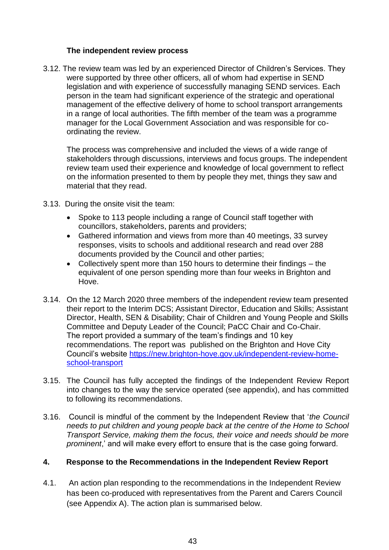### **The independent review process**

3.12. The review team was led by an experienced Director of Children's Services. They were supported by three other officers, all of whom had expertise in SEND legislation and with experience of successfully managing SEND services. Each person in the team had significant experience of the strategic and operational management of the effective delivery of home to school transport arrangements in a range of local authorities. The fifth member of the team was a programme manager for the Local Government Association and was responsible for coordinating the review.

The process was comprehensive and included the views of a wide range of stakeholders through discussions, interviews and focus groups. The independent review team used their experience and knowledge of local government to reflect on the information presented to them by people they met, things they saw and material that they read.

- 3.13. During the onsite visit the team:
	- Spoke to 113 people including a range of Council staff together with councillors, stakeholders, parents and providers;
	- Gathered information and views from more than 40 meetings, 33 survey responses, visits to schools and additional research and read over 288 documents provided by the Council and other parties;
	- Collectively spent more than 150 hours to determine their findings the equivalent of one person spending more than four weeks in Brighton and Hove.
- 3.14. On the 12 March 2020 three members of the independent review team presented their report to the Interim DCS; Assistant Director, Education and Skills; Assistant Director, Health, SEN & Disability; Chair of Children and Young People and Skills Committee and Deputy Leader of the Council; PaCC Chair and Co-Chair. The report provided a summary of the team's findings and 10 key recommendations. The report was published on the Brighton and Hove City Council's website [https://new.brighton-hove.gov.uk/independent-review-home](https://new.brighton-hove.gov.uk/independent-review-home-school-transport)[school-transport](https://new.brighton-hove.gov.uk/independent-review-home-school-transport)
- 3.15. The Council has fully accepted the findings of the Independent Review Report into changes to the way the service operated (see appendix), and has committed to following its recommendations.
- 3.16. Council is mindful of the comment by the Independent Review that '*the Council needs to put children and young people back at the centre of the Home to School Transport Service, making them the focus, their voice and needs should be more prominent*,' and will make every effort to ensure that is the case going forward.

### **4. Response to the Recommendations in the Independent Review Report**

4.1. An action plan responding to the recommendations in the Independent Review has been co-produced with representatives from the Parent and Carers Council (see Appendix A). The action plan is summarised below.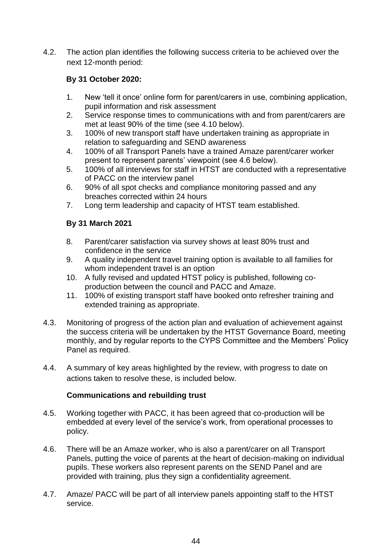4.2. The action plan identifies the following success criteria to be achieved over the next 12-month period:

# **By 31 October 2020:**

- 1. New 'tell it once' online form for parent/carers in use, combining application, pupil information and risk assessment
- 2. Service response times to communications with and from parent/carers are met at least 90% of the time (see 4.10 below).
- 3. 100% of new transport staff have undertaken training as appropriate in relation to safeguarding and SEND awareness
- 4. 100% of all Transport Panels have a trained Amaze parent/carer worker present to represent parents' viewpoint (see 4.6 below).
- 5. 100% of all interviews for staff in HTST are conducted with a representative of PACC on the interview panel
- 6. 90% of all spot checks and compliance monitoring passed and any breaches corrected within 24 hours
- 7. Long term leadership and capacity of HTST team established.

# **By 31 March 2021**

- 8. Parent/carer satisfaction via survey shows at least 80% trust and confidence in the service
- 9. A quality independent travel training option is available to all families for whom independent travel is an option
- 10. A fully revised and updated HTST policy is published, following coproduction between the council and PACC and Amaze.
- 11. 100% of existing transport staff have booked onto refresher training and extended training as appropriate.
- 4.3. Monitoring of progress of the action plan and evaluation of achievement against the success criteria will be undertaken by the HTST Governance Board, meeting monthly, and by regular reports to the CYPS Committee and the Members' Policy Panel as required.
- 4.4. A summary of key areas highlighted by the review, with progress to date on actions taken to resolve these, is included below.

## **Communications and rebuilding trust**

- 4.5. Working together with PACC, it has been agreed that co-production will be embedded at every level of the service's work, from operational processes to policy.
- 4.6. There will be an Amaze worker, who is also a parent/carer on all Transport Panels, putting the voice of parents at the heart of decision-making on individual pupils. These workers also represent parents on the SEND Panel and are provided with training, plus they sign a confidentiality agreement.
- 4.7. Amaze/ PACC will be part of all interview panels appointing staff to the HTST service.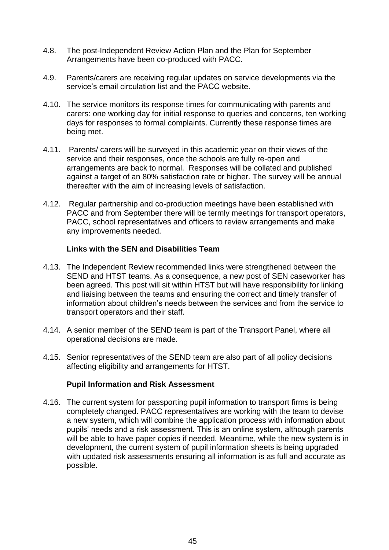- 4.8. The post-Independent Review Action Plan and the Plan for September Arrangements have been co-produced with PACC.
- 4.9. Parents/carers are receiving regular updates on service developments via the service's email circulation list and the PACC website.
- 4.10. The service monitors its response times for communicating with parents and carers: one working day for initial response to queries and concerns, ten working days for responses to formal complaints. Currently these response times are being met.
- 4.11. Parents/ carers will be surveyed in this academic year on their views of the service and their responses, once the schools are fully re-open and arrangements are back to normal. Responses will be collated and published against a target of an 80% satisfaction rate or higher. The survey will be annual thereafter with the aim of increasing levels of satisfaction.
- 4.12. Regular partnership and co-production meetings have been established with PACC and from September there will be termly meetings for transport operators, PACC, school representatives and officers to review arrangements and make any improvements needed.

### **Links with the SEN and Disabilities Team**

- 4.13. The Independent Review recommended links were strengthened between the SEND and HTST teams. As a consequence, a new post of SEN caseworker has been agreed. This post will sit within HTST but will have responsibility for linking and liaising between the teams and ensuring the correct and timely transfer of information about children's needs between the services and from the service to transport operators and their staff.
- 4.14. A senior member of the SEND team is part of the Transport Panel, where all operational decisions are made.
- 4.15. Senior representatives of the SEND team are also part of all policy decisions affecting eligibility and arrangements for HTST.

### **Pupil Information and Risk Assessment**

4.16. The current system for passporting pupil information to transport firms is being completely changed. PACC representatives are working with the team to devise a new system, which will combine the application process with information about pupils' needs and a risk assessment. This is an online system, although parents will be able to have paper copies if needed. Meantime, while the new system is in development, the current system of pupil information sheets is being upgraded with updated risk assessments ensuring all information is as full and accurate as possible.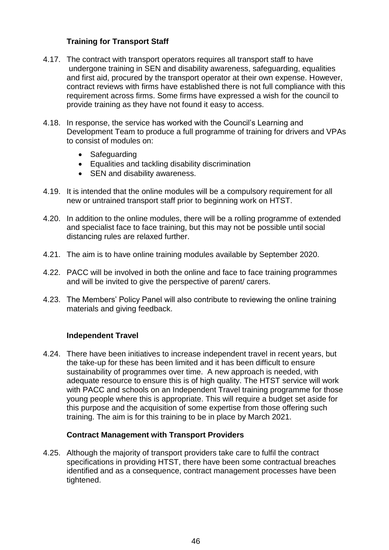# **Training for Transport Staff**

- 4.17. The contract with transport operators requires all transport staff to have undergone training in SEN and disability awareness, safeguarding, equalities and first aid, procured by the transport operator at their own expense. However, contract reviews with firms have established there is not full compliance with this requirement across firms. Some firms have expressed a wish for the council to provide training as they have not found it easy to access.
- 4.18. In response, the service has worked with the Council's Learning and Development Team to produce a full programme of training for drivers and VPAs to consist of modules on:
	- Safeguarding
	- Equalities and tackling disability discrimination
	- SEN and disability awareness.
- 4.19. It is intended that the online modules will be a compulsory requirement for all new or untrained transport staff prior to beginning work on HTST.
- 4.20. In addition to the online modules, there will be a rolling programme of extended and specialist face to face training, but this may not be possible until social distancing rules are relaxed further.
- 4.21. The aim is to have online training modules available by September 2020.
- 4.22. PACC will be involved in both the online and face to face training programmes and will be invited to give the perspective of parent/ carers.
- 4.23. The Members' Policy Panel will also contribute to reviewing the online training materials and giving feedback.

### **Independent Travel**

4.24. There have been initiatives to increase independent travel in recent years, but the take-up for these has been limited and it has been difficult to ensure sustainability of programmes over time. A new approach is needed, with adequate resource to ensure this is of high quality. The HTST service will work with PACC and schools on an Independent Travel training programme for those young people where this is appropriate. This will require a budget set aside for this purpose and the acquisition of some expertise from those offering such training. The aim is for this training to be in place by March 2021.

### **Contract Management with Transport Providers**

4.25. Although the majority of transport providers take care to fulfil the contract specifications in providing HTST, there have been some contractual breaches identified and as a consequence, contract management processes have been tightened.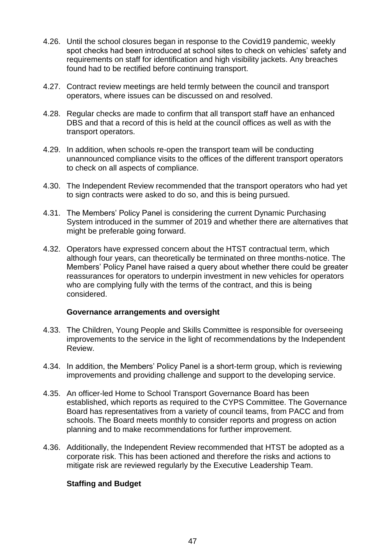- 4.26. Until the school closures began in response to the Covid19 pandemic, weekly spot checks had been introduced at school sites to check on vehicles' safety and requirements on staff for identification and high visibility jackets. Any breaches found had to be rectified before continuing transport.
- 4.27. Contract review meetings are held termly between the council and transport operators, where issues can be discussed on and resolved.
- 4.28. Regular checks are made to confirm that all transport staff have an enhanced DBS and that a record of this is held at the council offices as well as with the transport operators.
- 4.29. In addition, when schools re-open the transport team will be conducting unannounced compliance visits to the offices of the different transport operators to check on all aspects of compliance.
- 4.30. The Independent Review recommended that the transport operators who had yet to sign contracts were asked to do so, and this is being pursued.
- 4.31. The Members' Policy Panel is considering the current Dynamic Purchasing System introduced in the summer of 2019 and whether there are alternatives that might be preferable going forward.
- 4.32. Operators have expressed concern about the HTST contractual term, which although four years, can theoretically be terminated on three months-notice. The Members' Policy Panel have raised a query about whether there could be greater reassurances for operators to underpin investment in new vehicles for operators who are complying fully with the terms of the contract, and this is being considered.

### **Governance arrangements and oversight**

- 4.33. The Children, Young People and Skills Committee is responsible for overseeing improvements to the service in the light of recommendations by the Independent Review.
- 4.34. In addition, the Members' Policy Panel is a short-term group, which is reviewing improvements and providing challenge and support to the developing service.
- 4.35. An officer-led Home to School Transport Governance Board has been established, which reports as required to the CYPS Committee. The Governance Board has representatives from a variety of council teams, from PACC and from schools. The Board meets monthly to consider reports and progress on action planning and to make recommendations for further improvement.
- 4.36. Additionally, the Independent Review recommended that HTST be adopted as a corporate risk. This has been actioned and therefore the risks and actions to mitigate risk are reviewed regularly by the Executive Leadership Team.

### **Staffing and Budget**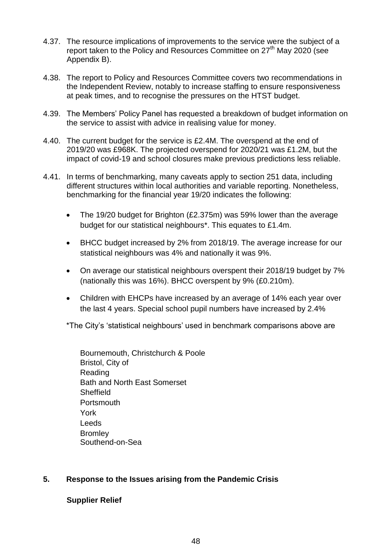- 4.37. The resource implications of improvements to the service were the subject of a report taken to the Policy and Resources Committee on 27<sup>th</sup> May 2020 (see Appendix B).
- 4.38. The report to Policy and Resources Committee covers two recommendations in the Independent Review, notably to increase staffing to ensure responsiveness at peak times, and to recognise the pressures on the HTST budget.
- 4.39. The Members' Policy Panel has requested a breakdown of budget information on the service to assist with advice in realising value for money.
- 4.40. The current budget for the service is £2.4M. The overspend at the end of 2019/20 was £968K. The projected overspend for 2020/21 was £1.2M, but the impact of covid-19 and school closures make previous predictions less reliable.
- 4.41. In terms of benchmarking, many caveats apply to section 251 data, including different structures within local authorities and variable reporting. Nonetheless, benchmarking for the financial year 19/20 indicates the following:
	- The 19/20 budget for Brighton (£2.375m) was 59% lower than the average budget for our statistical neighbours\*. This equates to £1.4m.
	- BHCC budget increased by 2% from 2018/19. The average increase for our statistical neighbours was 4% and nationally it was 9%.
	- On average our statistical neighbours overspent their 2018/19 budget by 7% (nationally this was 16%). BHCC overspent by 9% (£0.210m).
	- Children with EHCPs have increased by an average of 14% each year over the last 4 years. Special school pupil numbers have increased by 2.4%

\*The City's 'statistical neighbours' used in benchmark comparisons above are

Bournemouth, Christchurch & Poole Bristol, City of Reading Bath and North East Somerset **Sheffield Portsmouth** York Leeds **Bromley** Southend-on-Sea

### **5. Response to the Issues arising from the Pandemic Crisis**

### **Supplier Relief**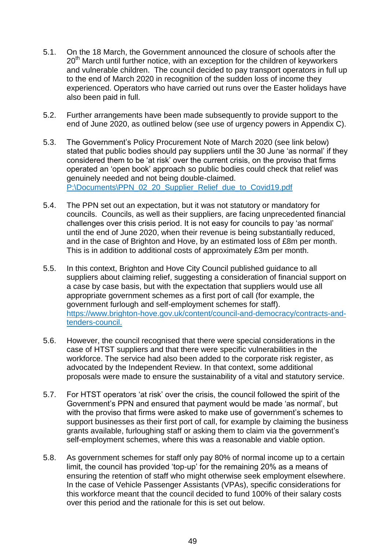- 5.1. On the 18 March, the Government announced the closure of schools after the  $20<sup>th</sup>$  March until further notice, with an exception for the children of keyworkers and vulnerable children. The council decided to pay transport operators in full up to the end of March 2020 in recognition of the sudden loss of income they experienced. Operators who have carried out runs over the Easter holidays have also been paid in full.
- 5.2. Further arrangements have been made subsequently to provide support to the end of June 2020, as outlined below (see use of urgency powers in Appendix C).
- 5.3. The Government's Policy Procurement Note of March 2020 (see link below) stated that public bodies should pay suppliers until the 30 June 'as normal' if they considered them to be 'at risk' over the current crisis, on the proviso that firms operated an 'open book' approach so public bodies could check that relief was genuinely needed and not being double-claimed. [P:\Documents\PPN\\_02\\_20\\_Supplier\\_Relief\\_due\\_to\\_Covid19.pdf](file:///P:/Documents/PPN_02_20_Supplier_Relief_due_to_Covid19.pdf)
- 5.4. The PPN set out an expectation, but it was not statutory or mandatory for councils. Councils, as well as their suppliers, are facing unprecedented financial challenges over this crisis period. It is not easy for councils to pay 'as normal' until the end of June 2020, when their revenue is being substantially reduced, and in the case of Brighton and Hove, by an estimated loss of £8m per month. This is in addition to additional costs of approximately £3m per month.
- 5.5. In this context, Brighton and Hove City Council published guidance to all suppliers about claiming relief, suggesting a consideration of financial support on a case by case basis, but with the expectation that suppliers would use all appropriate government schemes as a first port of call (for example, the government furlough and self-employment schemes for staff). [https://www.brighton-hove.gov.uk/content/council-and-democracy/contracts-and](https://www.brighton-hove.gov.uk/content/council-and-democracy/contracts-and-tenders-council)[tenders-council.](https://www.brighton-hove.gov.uk/content/council-and-democracy/contracts-and-tenders-council)
- 5.6. However, the council recognised that there were special considerations in the case of HTST suppliers and that there were specific vulnerabilities in the workforce. The service had also been added to the corporate risk register, as advocated by the Independent Review. In that context, some additional proposals were made to ensure the sustainability of a vital and statutory service.
- 5.7. For HTST operators 'at risk' over the crisis, the council followed the spirit of the Government's PPN and ensured that payment would be made 'as normal', but with the proviso that firms were asked to make use of government's schemes to support businesses as their first port of call, for example by claiming the business grants available, furloughing staff or asking them to claim via the government's self-employment schemes, where this was a reasonable and viable option.
- 5.8. As government schemes for staff only pay 80% of normal income up to a certain limit, the council has provided 'top-up' for the remaining 20% as a means of ensuring the retention of staff who might otherwise seek employment elsewhere. In the case of Vehicle Passenger Assistants (VPAs), specific considerations for this workforce meant that the council decided to fund 100% of their salary costs over this period and the rationale for this is set out below.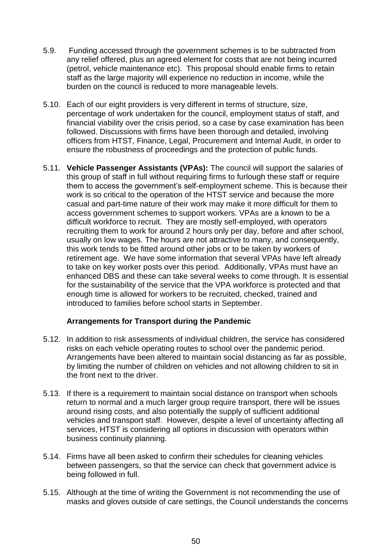- 5.9. Funding accessed through the government schemes is to be subtracted from any relief offered, plus an agreed element for costs that are not being incurred (petrol, vehicle maintenance etc). This proposal should enable firms to retain staff as the large majority will experience no reduction in income, while the burden on the council is reduced to more manageable levels.
- 5.10. Each of our eight providers is very different in terms of structure, size, percentage of work undertaken for the council, employment status of staff, and financial viability over the crisis period, so a case by case examination has been followed. Discussions with firms have been thorough and detailed, involving officers from HTST, Finance, Legal, Procurement and Internal Audit, in order to ensure the robustness of proceedings and the protection of public funds.
- 5.11. **Vehicle Passenger Assistants (VPAs):** The council will support the salaries of this group of staff in full without requiring firms to furlough these staff or require them to access the government's self-employment scheme. This is because their work is so critical to the operation of the HTST service and because the more casual and part-time nature of their work may make it more difficult for them to access government schemes to support workers. VPAs are a known to be a difficult workforce to recruit. They are mostly self-employed, with operators recruiting them to work for around 2 hours only per day, before and after school, usually on low wages. The hours are not attractive to many, and consequently, this work tends to be fitted around other jobs or to be taken by workers of retirement age. We have some information that several VPAs have left already to take on key worker posts over this period. Additionally, VPAs must have an enhanced DBS and these can take several weeks to come through. It is essential for the sustainability of the service that the VPA workforce is protected and that enough time is allowed for workers to be recruited, checked, trained and introduced to families before school starts in September.

## **Arrangements for Transport during the Pandemic**

- 5.12. In addition to risk assessments of individual children, the service has considered risks on each vehicle operating routes to school over the pandemic period. Arrangements have been altered to maintain social distancing as far as possible, by limiting the number of children on vehicles and not allowing children to sit in the front next to the driver.
- 5.13. If there is a requirement to maintain social distance on transport when schools return to normal and a much larger group require transport, there will be issues around rising costs, and also potentially the supply of sufficient additional vehicles and transport staff. However, despite a level of uncertainty affecting all services, HTST is considering all options in discussion with operators within business continuity planning.
- 5.14. Firms have all been asked to confirm their schedules for cleaning vehicles between passengers, so that the service can check that government advice is being followed in full.
- 5.15. Although at the time of writing the Government is not recommending the use of masks and gloves outside of care settings, the Council understands the concerns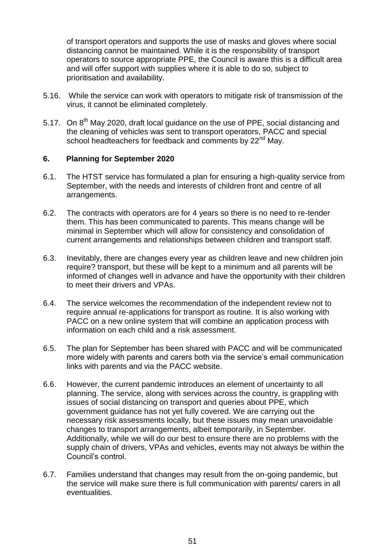of transport operators and supports the use of masks and gloves where social distancing cannot be maintained. While it is the responsibility of transport operators to source appropriate PPE, the Council is aware this is a difficult area and will offer support with supplies where it is able to do so, subject to prioritisation and availability.

- 5.16. While the service can work with operators to mitigate risk of transmission of the virus, it cannot be eliminated completely.
- 5.17. On 8<sup>th</sup> Mav 2020, draft local quidance on the use of PPE, social distancing and the cleaning of vehicles was sent to transport operators, PACC and special school headteachers for feedback and comments by 22<sup>nd</sup> May.

### **6. Planning for September 2020**

- 6.1. The HTST service has formulated a plan for ensuring a high-quality service from September, with the needs and interests of children front and centre of all arrangements.
- 6.2. The contracts with operators are for 4 years so there is no need to re-tender them. This has been communicated to parents. This means change will be minimal in September which will allow for consistency and consolidation of current arrangements and relationships between children and transport staff.
- 6.3. Inevitably, there are changes every year as children leave and new children join require? transport, but these will be kept to a minimum and all parents will be informed of changes well in advance and have the opportunity with their children to meet their drivers and VPAs.
- 6.4. The service welcomes the recommendation of the independent review not to require annual re-applications for transport as routine. It is also working with PACC on a new online system that will combine an application process with information on each child and a risk assessment.
- 6.5. The plan for September has been shared with PACC and will be communicated more widely with parents and carers both via the service's email communication links with parents and via the PACC website.
- 6.6. However, the current pandemic introduces an element of uncertainty to all planning. The service, along with services across the country, is grappling with issues of social distancing on transport and queries about PPE, which government guidance has not yet fully covered. We are carrying out the necessary risk assessments locally, but these issues may mean unavoidable changes to transport arrangements, albeit temporarily, in September. Additionally, while we will do our best to ensure there are no problems with the supply chain of drivers, VPAs and vehicles, events may not always be within the Council's control.
- 6.7. Families understand that changes may result from the on-going pandemic, but the service will make sure there is full communication with parents/ carers in all eventualities.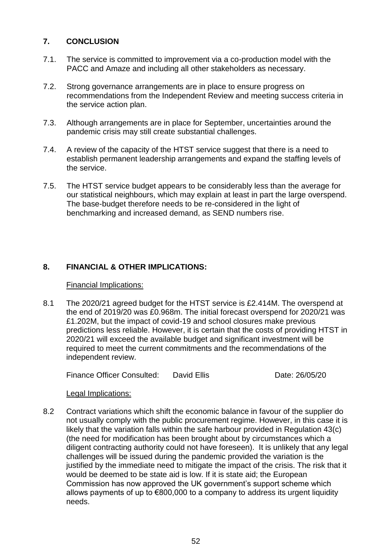# **7. CONCLUSION**

- 7.1. The service is committed to improvement via a co-production model with the PACC and Amaze and including all other stakeholders as necessary.
- 7.2. Strong governance arrangements are in place to ensure progress on recommendations from the Independent Review and meeting success criteria in the service action plan.
- 7.3. Although arrangements are in place for September, uncertainties around the pandemic crisis may still create substantial challenges.
- 7.4. A review of the capacity of the HTST service suggest that there is a need to establish permanent leadership arrangements and expand the staffing levels of the service.
- 7.5. The HTST service budget appears to be considerably less than the average for our statistical neighbours, which may explain at least in part the large overspend. The base-budget therefore needs to be re-considered in the light of benchmarking and increased demand, as SEND numbers rise.

# **8. FINANCIAL & OTHER IMPLICATIONS:**

Financial Implications:

8.1 The 2020/21 agreed budget for the HTST service is £2.414M. The overspend at the end of 2019/20 was £0.968m. The initial forecast overspend for 2020/21 was £1.202M, but the impact of covid-19 and school closures make previous predictions less reliable. However, it is certain that the costs of providing HTST in 2020/21 will exceed the available budget and significant investment will be required to meet the current commitments and the recommendations of the independent review.

Finance Officer Consulted: David Ellis **Date: 26/05/20** 

## Legal Implications:

8.2 Contract variations which shift the economic balance in favour of the supplier do not usually comply with the public procurement regime. However, in this case it is likely that the variation falls within the safe harbour provided in Regulation 43(c) (the need for modification has been brought about by circumstances which a diligent contracting authority could not have foreseen). It is unlikely that any legal challenges will be issued during the pandemic provided the variation is the justified by the immediate need to mitigate the impact of the crisis. The risk that it would be deemed to be state aid is low. If it is state aid; the European Commission has now approved the UK government's support scheme which allows payments of up to €800,000 to a company to address its urgent liquidity needs.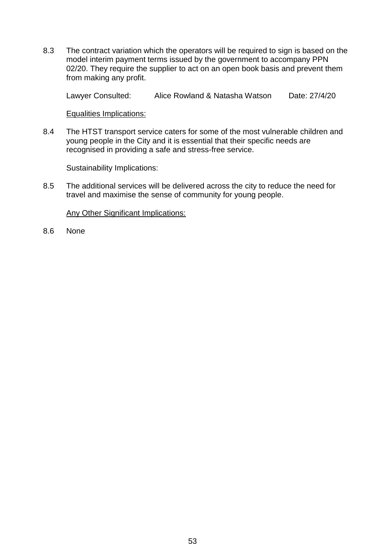8.3 The contract variation which the operators will be required to sign is based on the model interim payment terms issued by the government to accompany PPN 02/20. They require the supplier to act on an open book basis and prevent them from making any profit.

Lawyer Consulted: Alice Rowland & Natasha Watson Date: 27/4/20

Equalities Implications:

8.4 The HTST transport service caters for some of the most vulnerable children and young people in the City and it is essential that their specific needs are recognised in providing a safe and stress-free service.

Sustainability Implications:

8.5 The additional services will be delivered across the city to reduce the need for travel and maximise the sense of community for young people.

Any Other Significant Implications:

8.6 None